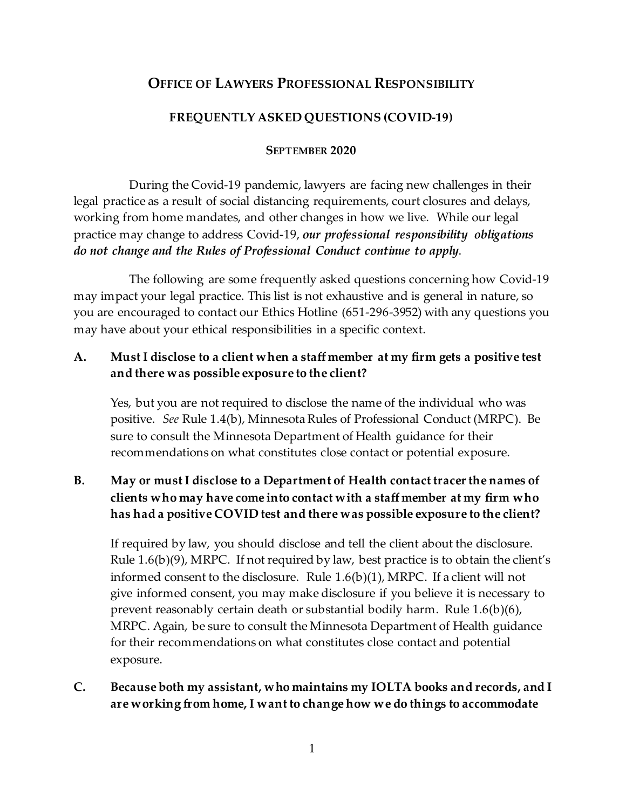# **OFFICE OF LAWYERS PROFESSIONAL RESPONSIBILITY**

### **FREQUENTLY ASKED QUESTIONS (COVID-19)**

#### **SEPTEMBER 2020**

During the Covid-19 pandemic, lawyers are facing new challenges in their legal practice as a result of social distancing requirements, court closures and delays, working from home mandates, and other changes in how we live. While our legal practice may change to address Covid-19, *our professional responsibility obligations do not change and the Rules of Professional Conduct continue to apply*.

The following are some frequently asked questions concerning how Covid-19 may impact your legal practice. This list is not exhaustive and is general in nature, so you are encouraged to contact our Ethics Hotline (651-296-3952) with any questions you may have about your ethical responsibilities in a specific context.

## **A. Must I disclose to a client when a staff member at my firm gets a positive test and there was possible exposure to the client?**

Yes, but you are not required to disclose the name of the individual who was positive. *See* Rule 1.4(b), Minnesota Rules of Professional Conduct (MRPC). Be sure to consult the Minnesota Department of Health guidance for their recommendations on what constitutes close contact or potential exposure.

# **B. May or must I disclose to a Department of Health contact tracer the names of clients who may have come into contact with a staff member at my firm who has had a positive COVID test and there was possible exposure to the client?**

If required by law, you should disclose and tell the client about the disclosure. Rule 1.6(b)(9), MRPC. If not required by law, best practice is to obtain the client's informed consent to the disclosure. Rule  $1.6(b)(1)$ , MRPC. If a client will not give informed consent, you may make disclosure if you believe it is necessary to prevent reasonably certain death or substantial bodily harm. Rule 1.6(b)(6), MRPC. Again, be sure to consult the Minnesota Department of Health guidance for their recommendations on what constitutes close contact and potential exposure.

## **C. Because both my assistant, who maintains my IOLTA books and records, and I are working from home, I want to change how we do things to accommodate**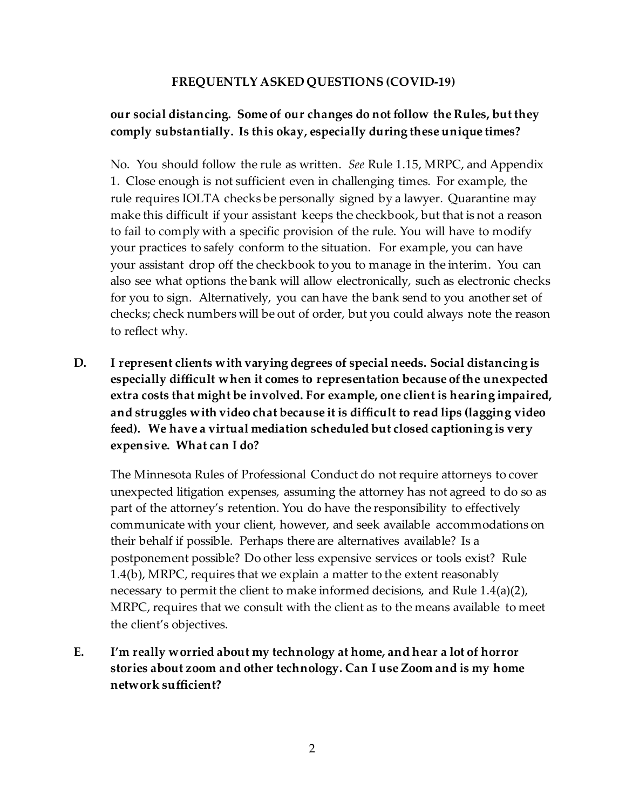# **our social distancing. Some of our changes do not follow the Rules, but they comply substantially. Is this okay, especially during these unique times?**

No. You should follow the rule as written. *See* Rule 1.15, MRPC, and Appendix 1. Close enough is not sufficient even in challenging times. For example, the rule requires IOLTA checks be personally signed by a lawyer. Quarantine may make this difficult if your assistant keeps the checkbook, but that is not a reason to fail to comply with a specific provision of the rule. You will have to modify your practices to safely conform to the situation. For example, you can have your assistant drop off the checkbook to you to manage in the interim. You can also see what options the bank will allow electronically, such as electronic checks for you to sign. Alternatively, you can have the bank send to you another set of checks; check numbers will be out of order, but you could always note the reason to reflect why.

**D. I represent clients with varying degrees of special needs. Social distancing is especially difficult when it comes to representation because of the unexpected extra costs that might be involved. For example, one client is hearing impaired, and struggles with video chat because it is difficult to read lips (lagging video feed). We have a virtual mediation scheduled but closed captioning is very expensive. What can I do?** 

The Minnesota Rules of Professional Conduct do not require attorneys to cover unexpected litigation expenses, assuming the attorney has not agreed to do so as part of the attorney's retention. You do have the responsibility to effectively communicate with your client, however, and seek available accommodations on their behalf if possible. Perhaps there are alternatives available? Is a postponement possible? Do other less expensive services or tools exist? Rule 1.4(b), MRPC, requires that we explain a matter to the extent reasonably necessary to permit the client to make informed decisions, and Rule  $1.4(a)(2)$ , MRPC, requires that we consult with the client as to the means available to meet the client's objectives.

**E. I'm really worried about my technology at home, and hear a lot of horror stories about zoom and other technology. Can I use Zoom and is my home network sufficient?**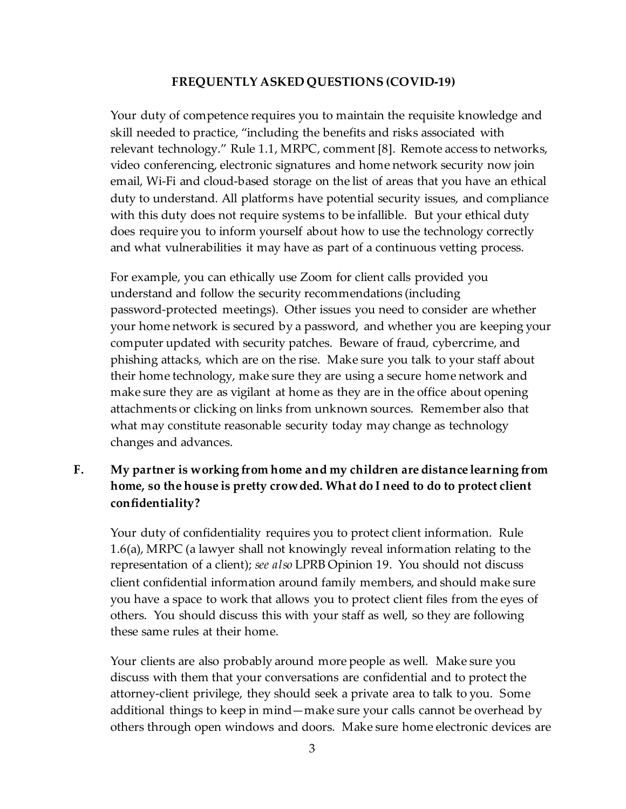Your duty of competence requires you to maintain the requisite knowledge and skill needed to practice, "including the benefits and risks associated with relevant technology." Rule 1.1, MRPC, comment [8]. Remote access to networks, video conferencing, electronic signatures and home network security now join email, Wi-Fi and cloud-based storage on the list of areas that you have an ethical duty to understand. All platforms have potential security issues, and compliance with this duty does not require systems to be infallible. But your ethical duty does require you to inform yourself about how to use the technology correctly and what vulnerabilities it may have as part of a continuous vetting process.

For example, you can ethically use Zoom for client calls provided you understand and follow the security recommendations (including password-protected meetings). Other issues you need to consider are whether your home network is secured by a password, and whether you are keeping your computer updated with security patches. Beware of fraud, cybercrime, and phishing attacks, which are on the rise. Make sure you talk to your staff about their home technology, make sure they are using a secure home network and make sure they are as vigilant at home as they are in the office about opening attachments or clicking on links from unknown sources. Remember also that what may constitute reasonable security today may change as technology changes and advances.

## **F. My partner is working from home and my children are distance learning from home, so the house is pretty crowded. What do I need to do to protect client confidentiality?**

Your duty of confidentiality requires you to protect client information. Rule 1.6(a), MRPC (a lawyer shall not knowingly reveal information relating to the representation of a client); *see also* LPRB Opinion 19. You should not discuss client confidential information around family members, and should make sure you have a space to work that allows you to protect client files from the eyes of others. You should discuss this with your staff as well, so they are following these same rules at their home.

Your clients are also probably around more people as well. Make sure you discuss with them that your conversations are confidential and to protect the attorney-client privilege, they should seek a private area to talk to you. Some additional things to keep in mind—make sure your calls cannot be overhead by others through open windows and doors. Make sure home electronic devices are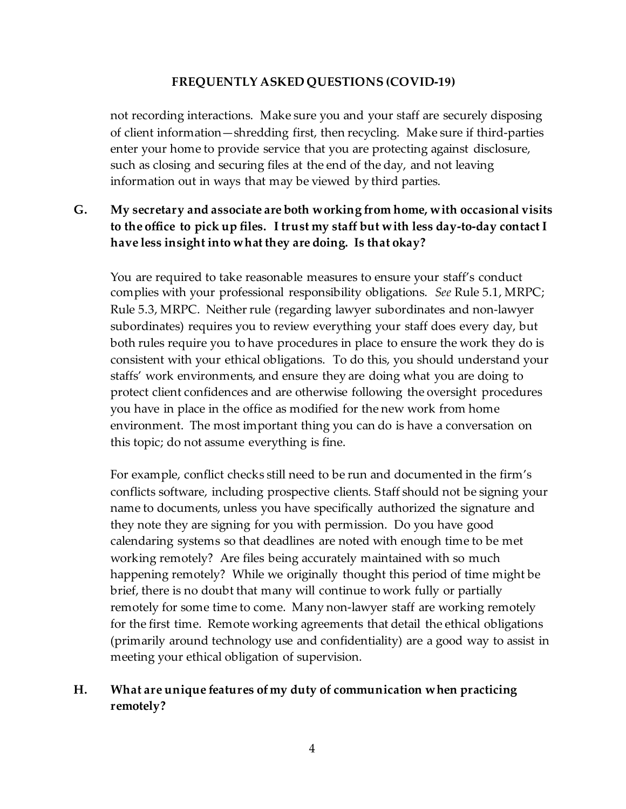not recording interactions. Make sure you and your staff are securely disposing of client information—shredding first, then recycling. Make sure if third-parties enter your home to provide service that you are protecting against disclosure, such as closing and securing files at the end of the day, and not leaving information out in ways that may be viewed by third parties.

# **G. My secretary and associate are both working from home, with occasional visits to the office to pick up files. I trust my staff but with less day-to-day contact I have less insight into what they are doing. Is that okay?**

You are required to take reasonable measures to ensure your staff's conduct complies with your professional responsibility obligations. *See* Rule 5.1, MRPC; Rule 5.3, MRPC. Neither rule (regarding lawyer subordinates and non-lawyer subordinates) requires you to review everything your staff does every day, but both rules require you to have procedures in place to ensure the work they do is consistent with your ethical obligations. To do this, you should understand your staffs' work environments, and ensure they are doing what you are doing to protect client confidences and are otherwise following the oversight procedures you have in place in the office as modified for the new work from home environment. The most important thing you can do is have a conversation on this topic; do not assume everything is fine.

For example, conflict checks still need to be run and documented in the firm's conflicts software, including prospective clients. Staff should not be signing your name to documents, unless you have specifically authorized the signature and they note they are signing for you with permission. Do you have good calendaring systems so that deadlines are noted with enough time to be met working remotely? Are files being accurately maintained with so much happening remotely? While we originally thought this period of time might be brief, there is no doubt that many will continue to work fully or partially remotely for some time to come. Many non-lawyer staff are working remotely for the first time. Remote working agreements that detail the ethical obligations (primarily around technology use and confidentiality) are a good way to assist in meeting your ethical obligation of supervision.

## **H. What are unique features of my duty of communication when practicing remotely?**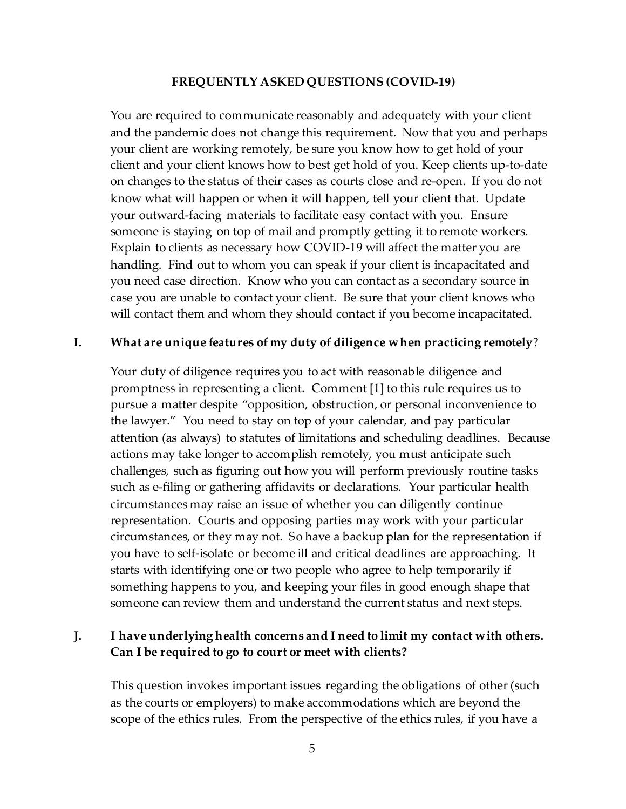You are required to communicate reasonably and adequately with your client and the pandemic does not change this requirement. Now that you and perhaps your client are working remotely, be sure you know how to get hold of your client and your client knows how to best get hold of you. Keep clients up-to-date on changes to the status of their cases as courts close and re-open. If you do not know what will happen or when it will happen, tell your client that. Update your outward-facing materials to facilitate easy contact with you. Ensure someone is staying on top of mail and promptly getting it to remote workers. Explain to clients as necessary how COVID-19 will affect the matter you are handling. Find out to whom you can speak if your client is incapacitated and you need case direction. Know who you can contact as a secondary source in case you are unable to contact your client. Be sure that your client knows who will contact them and whom they should contact if you become incapacitated.

### **I. What are unique features of my duty of diligence when practicing remotely**?

Your duty of diligence requires you to act with reasonable diligence and promptness in representing a client. Comment [1] to this rule requires us to pursue a matter despite "opposition, obstruction, or personal inconvenience to the lawyer." You need to stay on top of your calendar, and pay particular attention (as always) to statutes of limitations and scheduling deadlines. Because actions may take longer to accomplish remotely, you must anticipate such challenges, such as figuring out how you will perform previously routine tasks such as e-filing or gathering affidavits or declarations. Your particular health circumstances may raise an issue of whether you can diligently continue representation. Courts and opposing parties may work with your particular circumstances, or they may not. So have a backup plan for the representation if you have to self-isolate or become ill and critical deadlines are approaching. It starts with identifying one or two people who agree to help temporarily if something happens to you, and keeping your files in good enough shape that someone can review them and understand the current status and next steps.

## **J. I have underlying health concerns and I need to limit my contact with others. Can I be required to go to court or meet with clients?**

This question invokes important issues regarding the obligations of other (such as the courts or employers) to make accommodations which are beyond the scope of the ethics rules. From the perspective of the ethics rules, if you have a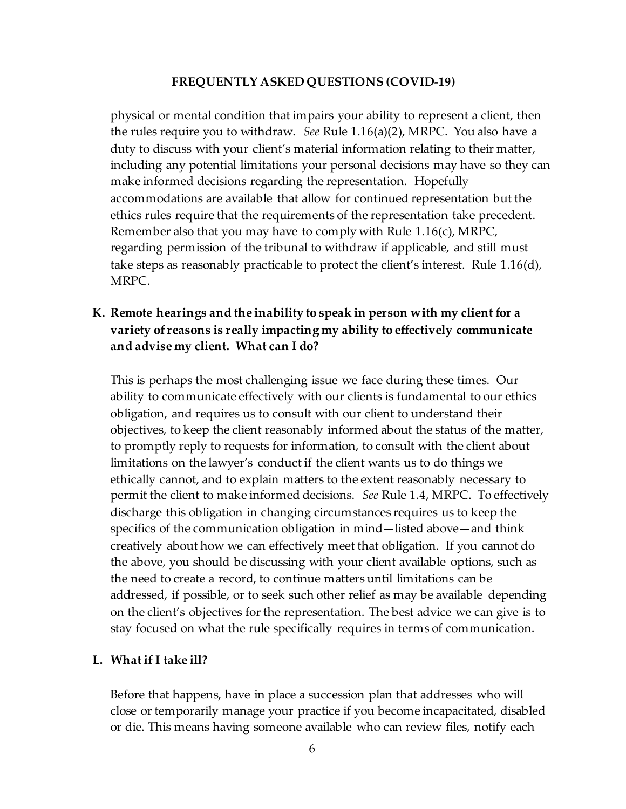physical or mental condition that impairs your ability to represent a client, then the rules require you to withdraw. *See* Rule 1.16(a)(2), MRPC. You also have a duty to discuss with your client's material information relating to their matter, including any potential limitations your personal decisions may have so they can make informed decisions regarding the representation. Hopefully accommodations are available that allow for continued representation but the ethics rules require that the requirements of the representation take precedent. Remember also that you may have to comply with Rule 1.16(c), MRPC, regarding permission of the tribunal to withdraw if applicable, and still must take steps as reasonably practicable to protect the client's interest. Rule 1.16(d), MRPC.

## **K. Remote hearings and the inability to speak in person with my client for a variety of reasons is really impacting my ability to effectively communicate and advise my client. What can I do?**

This is perhaps the most challenging issue we face during these times. Our ability to communicate effectively with our clients is fundamental to our ethics obligation, and requires us to consult with our client to understand their objectives, to keep the client reasonably informed about the status of the matter, to promptly reply to requests for information, to consult with the client about limitations on the lawyer's conduct if the client wants us to do things we ethically cannot, and to explain matters to the extent reasonably necessary to permit the client to make informed decisions. *See* Rule 1.4, MRPC. To effectively discharge this obligation in changing circumstances requires us to keep the specifics of the communication obligation in mind—listed above—and think creatively about how we can effectively meet that obligation. If you cannot do the above, you should be discussing with your client available options, such as the need to create a record, to continue matters until limitations can be addressed, if possible, or to seek such other relief as may be available depending on the client's objectives for the representation. The best advice we can give is to stay focused on what the rule specifically requires in terms of communication.

#### **L. What if I take ill?**

Before that happens, have in place a succession plan that addresses who will close or temporarily manage your practice if you become incapacitated, disabled or die. This means having someone available who can review files, notify each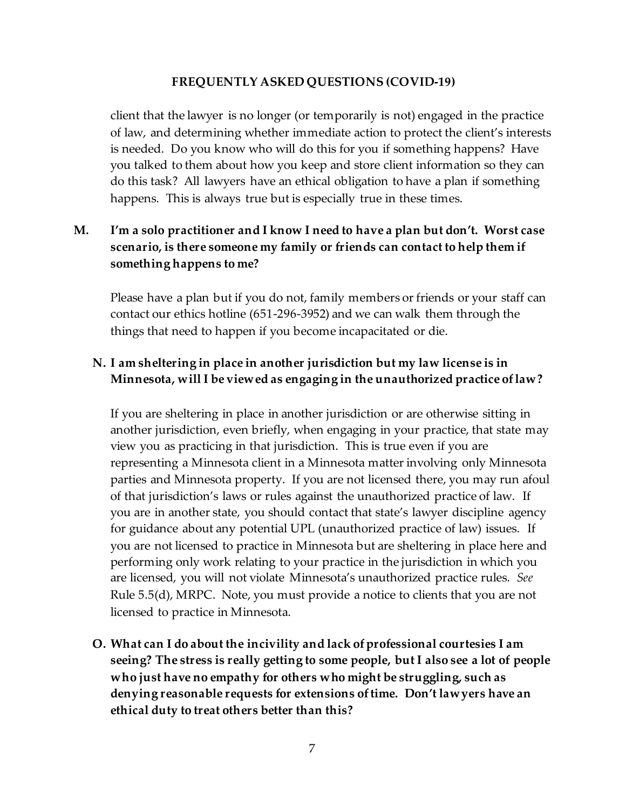client that the lawyer is no longer (or temporarily is not) engaged in the practice of law, and determining whether immediate action to protect the client's interests is needed. Do you know who will do this for you if something happens? Have you talked to them about how you keep and store client information so they can do this task? All lawyers have an ethical obligation to have a plan if something happens. This is always true but is especially true in these times.

# **M. I'm a solo practitioner and I know I need to have a plan but don't. Worst case scenario, is there someone my family or friends can contact to help them if something happens to me?**

Please have a plan but if you do not, family members or friends or your staff can contact our ethics hotline (651-296-3952) and we can walk them through the things that need to happen if you become incapacitated or die.

## **N. I am sheltering in place in another jurisdiction but my law license is in Minnesota, will I be viewed as engaging in the unauthorized practice of law?**

If you are sheltering in place in another jurisdiction or are otherwise sitting in another jurisdiction, even briefly, when engaging in your practice, that state may view you as practicing in that jurisdiction. This is true even if you are representing a Minnesota client in a Minnesota matter involving only Minnesota parties and Minnesota property. If you are not licensed there, you may run afoul of that jurisdiction's laws or rules against the unauthorized practice of law. If you are in another state, you should contact that state's lawyer discipline agency for guidance about any potential UPL (unauthorized practice of law) issues. If you are not licensed to practice in Minnesota but are sheltering in place here and performing only work relating to your practice in the jurisdiction in which you are licensed, you will not violate Minnesota's unauthorized practice rules. *See* Rule 5.5(d), MRPC. Note, you must provide a notice to clients that you are not licensed to practice in Minnesota.

**O. What can I do about the incivility and lack of professional courtesies I am seeing? The stress is really getting to some people, but I also see a lot of people who just have no empathy for others who might be struggling, such as denying reasonable requests for extensions of time. Don't lawyers have an ethical duty to treat others better than this?**